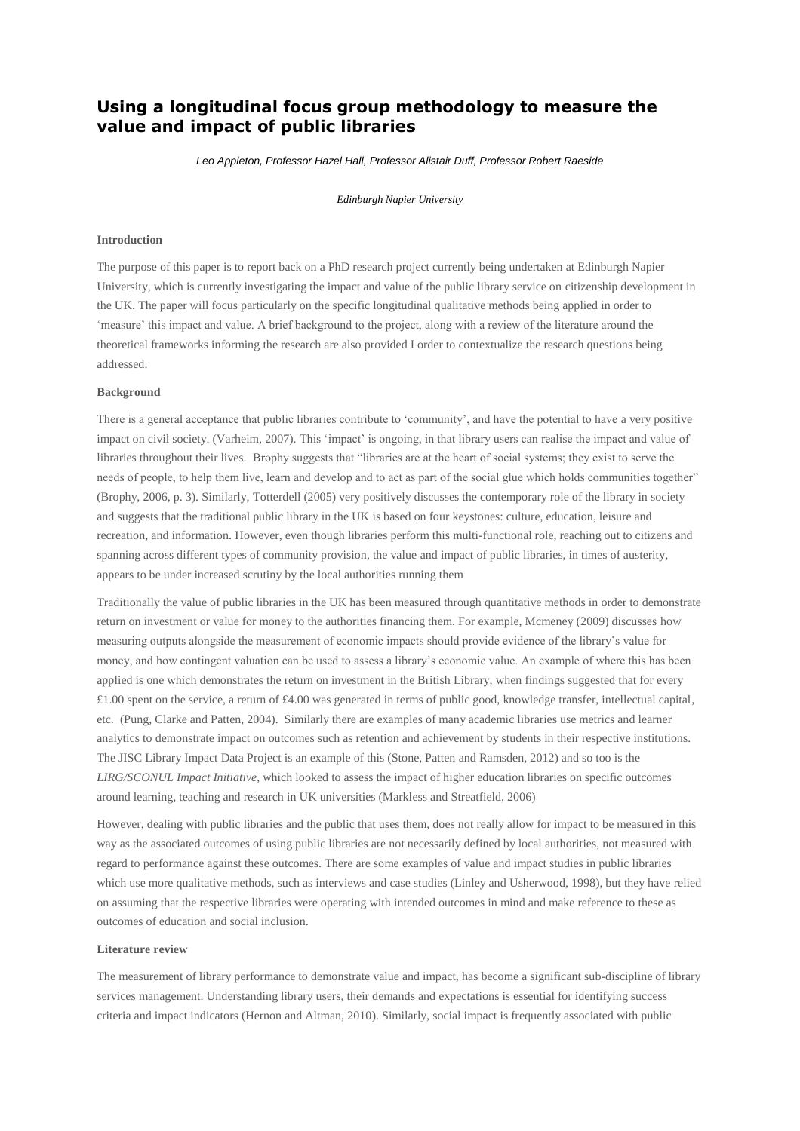# **Using a longitudinal focus group methodology to measure the value and impact of public libraries**

*Leo Appleton, Professor Hazel Hall, Professor Alistair Duff, Professor Robert Raeside*

*Edinburgh Napier University*

## **Introduction**

The purpose of this paper is to report back on a PhD research project currently being undertaken at Edinburgh Napier University, which is currently investigating the impact and value of the public library service on citizenship development in the UK. The paper will focus particularly on the specific longitudinal qualitative methods being applied in order to 'measure' this impact and value. A brief background to the project, along with a review of the literature around the theoretical frameworks informing the research are also provided I order to contextualize the research questions being addressed.

# **Background**

There is a general acceptance that public libraries contribute to 'community', and have the potential to have a very positive impact on civil society. (Varheim, 2007). This 'impact' is ongoing, in that library users can realise the impact and value of libraries throughout their lives. Brophy suggests that "libraries are at the heart of social systems; they exist to serve the needs of people, to help them live, learn and develop and to act as part of the social glue which holds communities together" (Brophy, 2006, p. 3). Similarly, Totterdell (2005) very positively discusses the contemporary role of the library in society and suggests that the traditional public library in the UK is based on four keystones: culture, education, leisure and recreation, and information. However, even though libraries perform this multi-functional role, reaching out to citizens and spanning across different types of community provision, the value and impact of public libraries, in times of austerity, appears to be under increased scrutiny by the local authorities running them

Traditionally the value of public libraries in the UK has been measured through quantitative methods in order to demonstrate return on investment or value for money to the authorities financing them. For example, Mcmeney (2009) discusses how measuring outputs alongside the measurement of economic impacts should provide evidence of the library's value for money, and how contingent valuation can be used to assess a library's economic value. An example of where this has been applied is one which demonstrates the return on investment in the British Library, when findings suggested that for every £1.00 spent on the service, a return of £4.00 was generated in terms of public good, knowledge transfer, intellectual capital, etc. (Pung, Clarke and Patten, 2004). Similarly there are examples of many academic libraries use metrics and learner analytics to demonstrate impact on outcomes such as retention and achievement by students in their respective institutions. The JISC Library Impact Data Project is an example of this (Stone, Patten and Ramsden, 2012) and so too is the *LIRG/SCONUL Impact Initiative*, which looked to assess the impact of higher education libraries on specific outcomes around learning, teaching and research in UK universities (Markless and Streatfield, 2006)

However, dealing with public libraries and the public that uses them, does not really allow for impact to be measured in this way as the associated outcomes of using public libraries are not necessarily defined by local authorities, not measured with regard to performance against these outcomes. There are some examples of value and impact studies in public libraries which use more qualitative methods, such as interviews and case studies (Linley and Usherwood, 1998), but they have relied on assuming that the respective libraries were operating with intended outcomes in mind and make reference to these as outcomes of education and social inclusion.

### **Literature review**

The measurement of library performance to demonstrate value and impact, has become a significant sub-discipline of library services management. Understanding library users, their demands and expectations is essential for identifying success criteria and impact indicators (Hernon and Altman, 2010). Similarly, social impact is frequently associated with public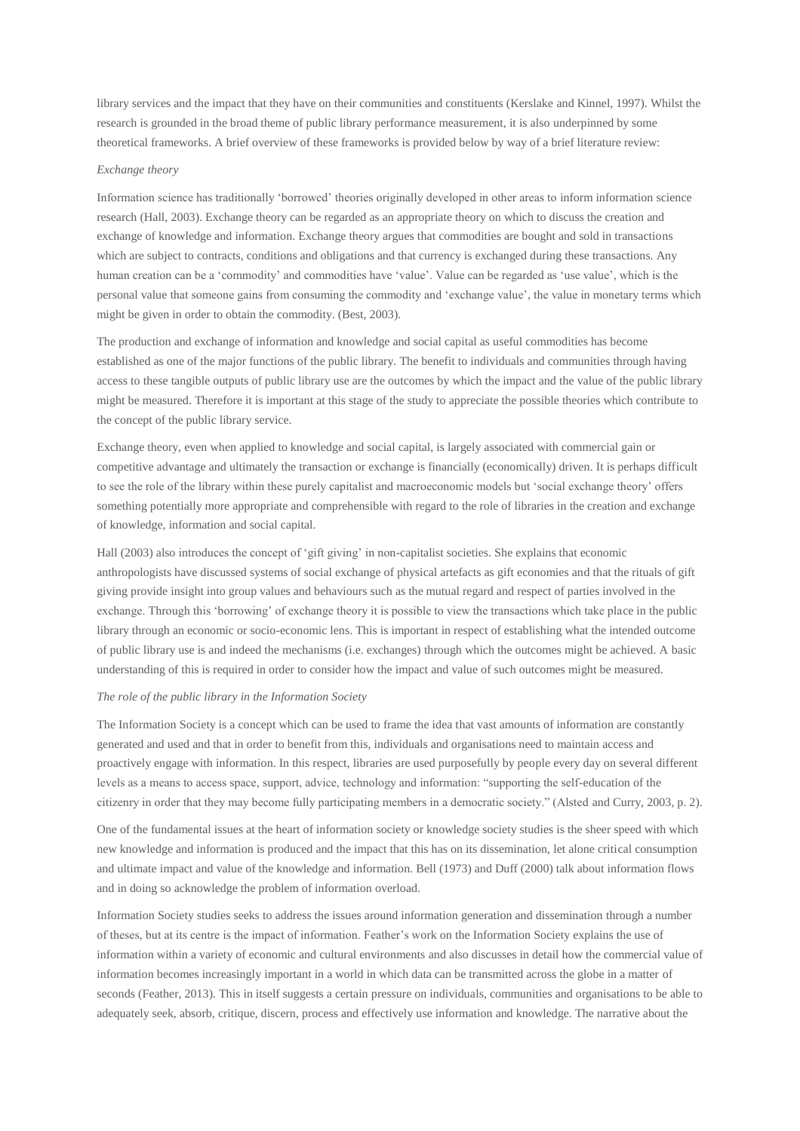library services and the impact that they have on their communities and constituents (Kerslake and Kinnel, 1997). Whilst the research is grounded in the broad theme of public library performance measurement, it is also underpinned by some theoretical frameworks. A brief overview of these frameworks is provided below by way of a brief literature review:

# *Exchange theory*

Information science has traditionally 'borrowed' theories originally developed in other areas to inform information science research (Hall, 2003). Exchange theory can be regarded as an appropriate theory on which to discuss the creation and exchange of knowledge and information. Exchange theory argues that commodities are bought and sold in transactions which are subject to contracts, conditions and obligations and that currency is exchanged during these transactions. Any human creation can be a 'commodity' and commodities have 'value'. Value can be regarded as 'use value', which is the personal value that someone gains from consuming the commodity and 'exchange value', the value in monetary terms which might be given in order to obtain the commodity. (Best, 2003).

The production and exchange of information and knowledge and social capital as useful commodities has become established as one of the major functions of the public library. The benefit to individuals and communities through having access to these tangible outputs of public library use are the outcomes by which the impact and the value of the public library might be measured. Therefore it is important at this stage of the study to appreciate the possible theories which contribute to the concept of the public library service.

Exchange theory, even when applied to knowledge and social capital, is largely associated with commercial gain or competitive advantage and ultimately the transaction or exchange is financially (economically) driven. It is perhaps difficult to see the role of the library within these purely capitalist and macroeconomic models but 'social exchange theory' offers something potentially more appropriate and comprehensible with regard to the role of libraries in the creation and exchange of knowledge, information and social capital.

Hall (2003) also introduces the concept of 'gift giving' in non-capitalist societies. She explains that economic anthropologists have discussed systems of social exchange of physical artefacts as gift economies and that the rituals of gift giving provide insight into group values and behaviours such as the mutual regard and respect of parties involved in the exchange. Through this 'borrowing' of exchange theory it is possible to view the transactions which take place in the public library through an economic or socio-economic lens. This is important in respect of establishing what the intended outcome of public library use is and indeed the mechanisms (i.e. exchanges) through which the outcomes might be achieved. A basic understanding of this is required in order to consider how the impact and value of such outcomes might be measured.

#### *The role of the public library in the Information Society*

The Information Society is a concept which can be used to frame the idea that vast amounts of information are constantly generated and used and that in order to benefit from this, individuals and organisations need to maintain access and proactively engage with information. In this respect, libraries are used purposefully by people every day on several different levels as a means to access space, support, advice, technology and information: "supporting the self-education of the citizenry in order that they may become fully participating members in a democratic society." (Alsted and Curry, 2003, p. 2).

One of the fundamental issues at the heart of information society or knowledge society studies is the sheer speed with which new knowledge and information is produced and the impact that this has on its dissemination, let alone critical consumption and ultimate impact and value of the knowledge and information. Bell (1973) and Duff (2000) talk about information flows and in doing so acknowledge the problem of information overload.

Information Society studies seeks to address the issues around information generation and dissemination through a number of theses, but at its centre is the impact of information. Feather's work on the Information Society explains the use of information within a variety of economic and cultural environments and also discusses in detail how the commercial value of information becomes increasingly important in a world in which data can be transmitted across the globe in a matter of seconds (Feather, 2013). This in itself suggests a certain pressure on individuals, communities and organisations to be able to adequately seek, absorb, critique, discern, process and effectively use information and knowledge. The narrative about the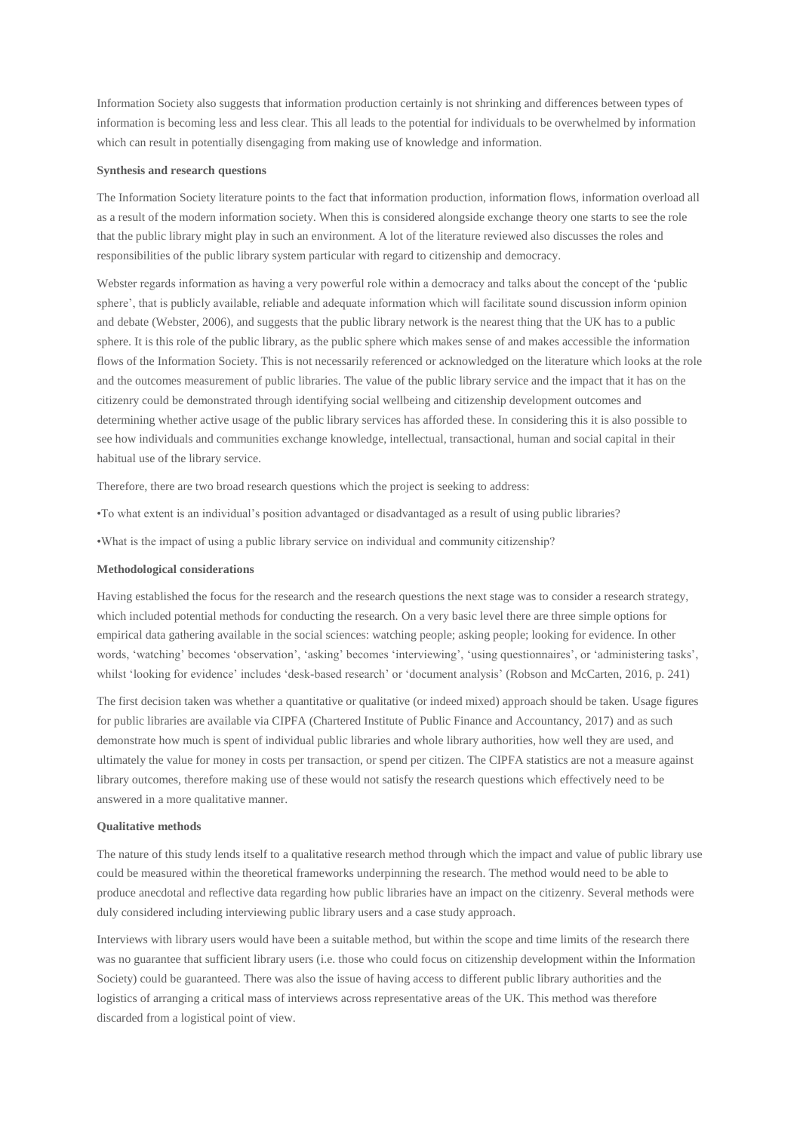Information Society also suggests that information production certainly is not shrinking and differences between types of information is becoming less and less clear. This all leads to the potential for individuals to be overwhelmed by information which can result in potentially disengaging from making use of knowledge and information.

## **Synthesis and research questions**

The Information Society literature points to the fact that information production, information flows, information overload all as a result of the modern information society. When this is considered alongside exchange theory one starts to see the role that the public library might play in such an environment. A lot of the literature reviewed also discusses the roles and responsibilities of the public library system particular with regard to citizenship and democracy.

Webster regards information as having a very powerful role within a democracy and talks about the concept of the 'public sphere', that is publicly available, reliable and adequate information which will facilitate sound discussion inform opinion and debate (Webster, 2006), and suggests that the public library network is the nearest thing that the UK has to a public sphere. It is this role of the public library, as the public sphere which makes sense of and makes accessible the information flows of the Information Society. This is not necessarily referenced or acknowledged on the literature which looks at the role and the outcomes measurement of public libraries. The value of the public library service and the impact that it has on the citizenry could be demonstrated through identifying social wellbeing and citizenship development outcomes and determining whether active usage of the public library services has afforded these. In considering this it is also possible to see how individuals and communities exchange knowledge, intellectual, transactional, human and social capital in their habitual use of the library service.

Therefore, there are two broad research questions which the project is seeking to address:

•To what extent is an individual's position advantaged or disadvantaged as a result of using public libraries?

•What is the impact of using a public library service on individual and community citizenship?

## **Methodological considerations**

Having established the focus for the research and the research questions the next stage was to consider a research strategy, which included potential methods for conducting the research. On a very basic level there are three simple options for empirical data gathering available in the social sciences: watching people; asking people; looking for evidence. In other words, 'watching' becomes 'observation', 'asking' becomes 'interviewing', 'using questionnaires', or 'administering tasks', whilst 'looking for evidence' includes 'desk-based research' or 'document analysis' (Robson and McCarten, 2016, p. 241)

The first decision taken was whether a quantitative or qualitative (or indeed mixed) approach should be taken. Usage figures for public libraries are available via CIPFA (Chartered Institute of Public Finance and Accountancy, 2017) and as such demonstrate how much is spent of individual public libraries and whole library authorities, how well they are used, and ultimately the value for money in costs per transaction, or spend per citizen. The CIPFA statistics are not a measure against library outcomes, therefore making use of these would not satisfy the research questions which effectively need to be answered in a more qualitative manner.

# **Qualitative methods**

The nature of this study lends itself to a qualitative research method through which the impact and value of public library use could be measured within the theoretical frameworks underpinning the research. The method would need to be able to produce anecdotal and reflective data regarding how public libraries have an impact on the citizenry. Several methods were duly considered including interviewing public library users and a case study approach.

Interviews with library users would have been a suitable method, but within the scope and time limits of the research there was no guarantee that sufficient library users (i.e. those who could focus on citizenship development within the Information Society) could be guaranteed. There was also the issue of having access to different public library authorities and the logistics of arranging a critical mass of interviews across representative areas of the UK. This method was therefore discarded from a logistical point of view.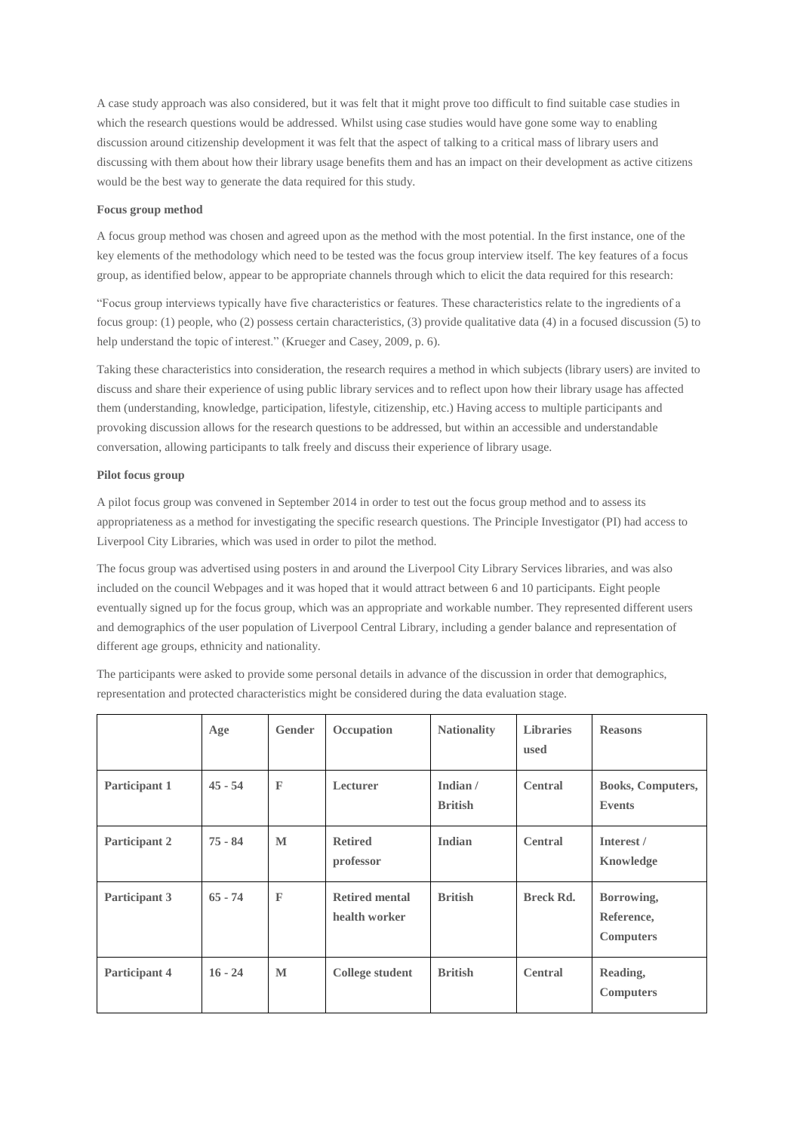A case study approach was also considered, but it was felt that it might prove too difficult to find suitable case studies in which the research questions would be addressed. Whilst using case studies would have gone some way to enabling discussion around citizenship development it was felt that the aspect of talking to a critical mass of library users and discussing with them about how their library usage benefits them and has an impact on their development as active citizens would be the best way to generate the data required for this study.

# **Focus group method**

A focus group method was chosen and agreed upon as the method with the most potential. In the first instance, one of the key elements of the methodology which need to be tested was the focus group interview itself. The key features of a focus group, as identified below, appear to be appropriate channels through which to elicit the data required for this research:

"Focus group interviews typically have five characteristics or features. These characteristics relate to the ingredients of a focus group: (1) people, who (2) possess certain characteristics, (3) provide qualitative data (4) in a focused discussion (5) to help understand the topic of interest." (Krueger and Casey, 2009, p. 6).

Taking these characteristics into consideration, the research requires a method in which subjects (library users) are invited to discuss and share their experience of using public library services and to reflect upon how their library usage has affected them (understanding, knowledge, participation, lifestyle, citizenship, etc.) Having access to multiple participants and provoking discussion allows for the research questions to be addressed, but within an accessible and understandable conversation, allowing participants to talk freely and discuss their experience of library usage.

# **Pilot focus group**

A pilot focus group was convened in September 2014 in order to test out the focus group method and to assess its appropriateness as a method for investigating the specific research questions. The Principle Investigator (PI) had access to Liverpool City Libraries, which was used in order to pilot the method.

The focus group was advertised using posters in and around the Liverpool City Library Services libraries, and was also included on the council Webpages and it was hoped that it would attract between 6 and 10 participants. Eight people eventually signed up for the focus group, which was an appropriate and workable number. They represented different users and demographics of the user population of Liverpool Central Library, including a gender balance and representation of different age groups, ethnicity and nationality.

The participants were asked to provide some personal details in advance of the discussion in order that demographics, representation and protected characteristics might be considered during the data evaluation stage.

|               | Age       | <b>Gender</b> | Occupation                             | <b>Nationality</b>         | <b>Libraries</b><br>used | <b>Reasons</b>                               |
|---------------|-----------|---------------|----------------------------------------|----------------------------|--------------------------|----------------------------------------------|
| Participant 1 | $45 - 54$ | $\mathbb{F}$  | Lecturer                               | Indian /<br><b>British</b> | <b>Central</b>           | Books, Computers,<br><b>Events</b>           |
| Participant 2 | $75 - 84$ | M             | <b>Retired</b><br>professor            | Indian                     | <b>Central</b>           | Interest /<br>Knowledge                      |
| Participant 3 | $65 - 74$ | $\mathbb{F}$  | <b>Retired mental</b><br>health worker | <b>British</b>             | <b>Breck Rd.</b>         | Borrowing,<br>Reference,<br><b>Computers</b> |
| Participant 4 | $16 - 24$ | M             | College student                        | <b>British</b>             | <b>Central</b>           | Reading,<br><b>Computers</b>                 |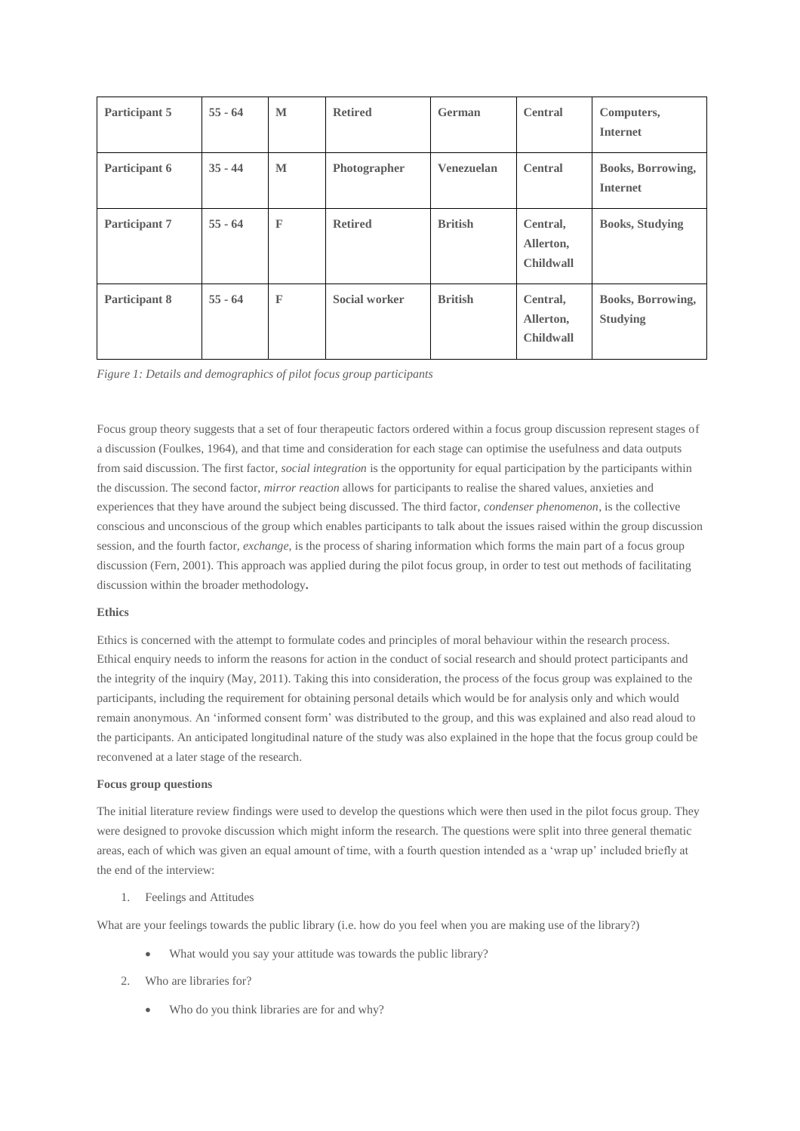| Participant 5 | $55 - 64$ | M            | <b>Retired</b> | German         | <b>Central</b>                            | Computers,<br><b>Internet</b>               |
|---------------|-----------|--------------|----------------|----------------|-------------------------------------------|---------------------------------------------|
| Participant 6 | $35 - 44$ | M            | Photographer   | Venezuelan     | <b>Central</b>                            | <b>Books, Borrowing,</b><br><b>Internet</b> |
| Participant 7 | $55 - 64$ | $\mathbb F$  | <b>Retired</b> | <b>British</b> | Central,<br>Allerton,<br><b>Childwall</b> | <b>Books, Studying</b>                      |
| Participant 8 | $55 - 64$ | $\mathbb{F}$ | Social worker  | <b>British</b> | Central,<br>Allerton,<br>Childwall        | <b>Books, Borrowing,</b><br><b>Studying</b> |

*Figure 1: Details and demographics of pilot focus group participants*

Focus group theory suggests that a set of four therapeutic factors ordered within a focus group discussion represent stages of a discussion (Foulkes, 1964), and that time and consideration for each stage can optimise the usefulness and data outputs from said discussion. The first factor, *social integration* is the opportunity for equal participation by the participants within the discussion. The second factor, *mirror reaction* allows for participants to realise the shared values, anxieties and experiences that they have around the subject being discussed. The third factor, *condenser phenomenon*, is the collective conscious and unconscious of the group which enables participants to talk about the issues raised within the group discussion session, and the fourth factor, *exchange*, is the process of sharing information which forms the main part of a focus group discussion (Fern, 2001). This approach was applied during the pilot focus group, in order to test out methods of facilitating discussion within the broader methodology**.**

# **Ethics**

Ethics is concerned with the attempt to formulate codes and principles of moral behaviour within the research process. Ethical enquiry needs to inform the reasons for action in the conduct of social research and should protect participants and the integrity of the inquiry (May, 2011). Taking this into consideration, the process of the focus group was explained to the participants, including the requirement for obtaining personal details which would be for analysis only and which would remain anonymous. An 'informed consent form' was distributed to the group, and this was explained and also read aloud to the participants. An anticipated longitudinal nature of the study was also explained in the hope that the focus group could be reconvened at a later stage of the research.

# **Focus group questions**

The initial literature review findings were used to develop the questions which were then used in the pilot focus group. They were designed to provoke discussion which might inform the research. The questions were split into three general thematic areas, each of which was given an equal amount of time, with a fourth question intended as a 'wrap up' included briefly at the end of the interview:

1. Feelings and Attitudes

What are your feelings towards the public library (i.e. how do you feel when you are making use of the library?)

- What would you say your attitude was towards the public library?
- 2. Who are libraries for?
	- Who do you think libraries are for and why?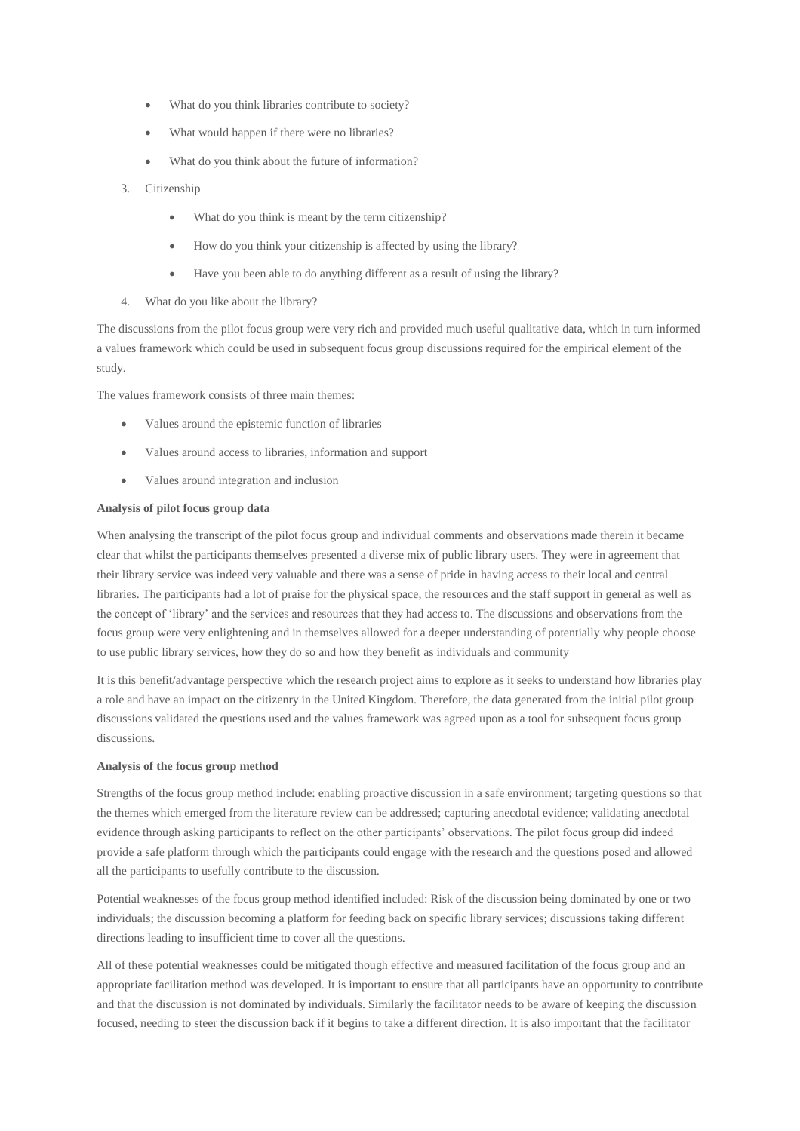- What do you think libraries contribute to society?
- What would happen if there were no libraries?
- What do you think about the future of information?
- 3. Citizenship
	- What do you think is meant by the term citizenship?
	- How do you think your citizenship is affected by using the library?
	- Have you been able to do anything different as a result of using the library?
- 4. What do you like about the library?

The discussions from the pilot focus group were very rich and provided much useful qualitative data, which in turn informed a values framework which could be used in subsequent focus group discussions required for the empirical element of the study.

The values framework consists of three main themes:

- Values around the epistemic function of libraries
- Values around access to libraries, information and support
- Values around integration and inclusion

# **Analysis of pilot focus group data**

When analysing the transcript of the pilot focus group and individual comments and observations made therein it became clear that whilst the participants themselves presented a diverse mix of public library users. They were in agreement that their library service was indeed very valuable and there was a sense of pride in having access to their local and central libraries. The participants had a lot of praise for the physical space, the resources and the staff support in general as well as the concept of 'library' and the services and resources that they had access to. The discussions and observations from the focus group were very enlightening and in themselves allowed for a deeper understanding of potentially why people choose to use public library services, how they do so and how they benefit as individuals and community

It is this benefit/advantage perspective which the research project aims to explore as it seeks to understand how libraries play a role and have an impact on the citizenry in the United Kingdom. Therefore, the data generated from the initial pilot group discussions validated the questions used and the values framework was agreed upon as a tool for subsequent focus group discussions.

#### **Analysis of the focus group method**

Strengths of the focus group method include: enabling proactive discussion in a safe environment; targeting questions so that the themes which emerged from the literature review can be addressed; capturing anecdotal evidence; validating anecdotal evidence through asking participants to reflect on the other participants' observations. The pilot focus group did indeed provide a safe platform through which the participants could engage with the research and the questions posed and allowed all the participants to usefully contribute to the discussion.

Potential weaknesses of the focus group method identified included: Risk of the discussion being dominated by one or two individuals; the discussion becoming a platform for feeding back on specific library services; discussions taking different directions leading to insufficient time to cover all the questions.

All of these potential weaknesses could be mitigated though effective and measured facilitation of the focus group and an appropriate facilitation method was developed. It is important to ensure that all participants have an opportunity to contribute and that the discussion is not dominated by individuals. Similarly the facilitator needs to be aware of keeping the discussion focused, needing to steer the discussion back if it begins to take a different direction. It is also important that the facilitator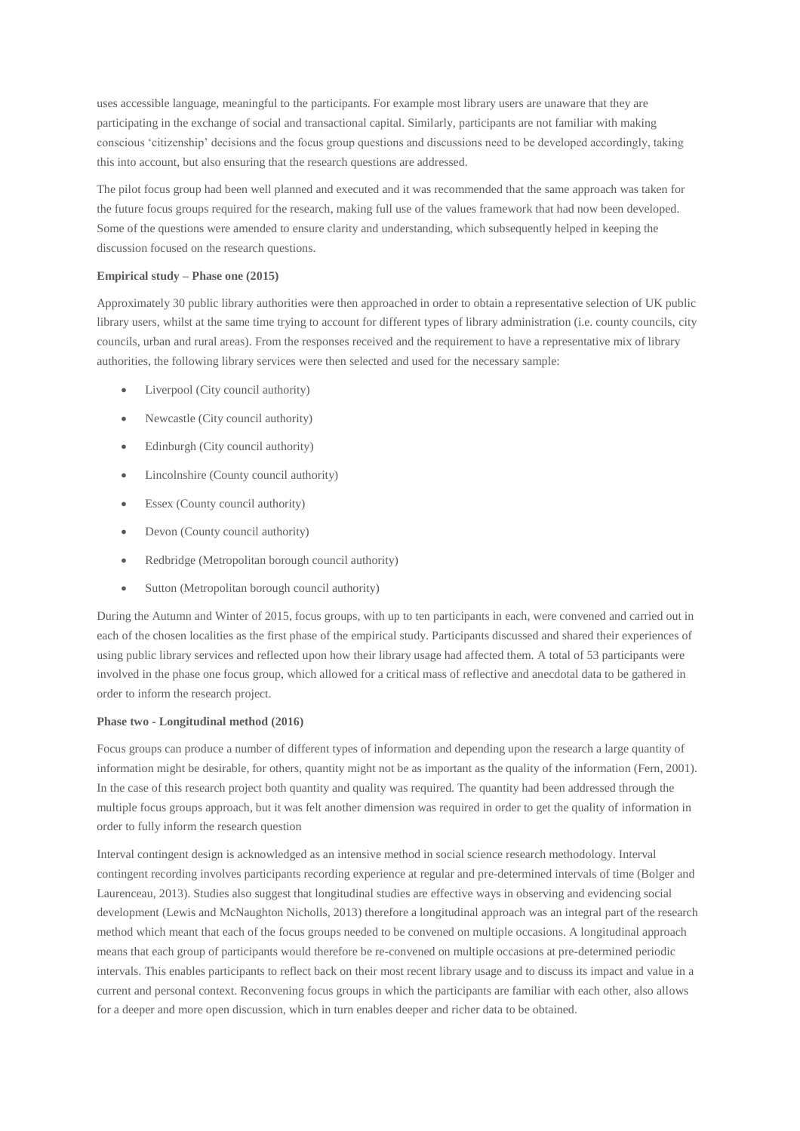uses accessible language, meaningful to the participants. For example most library users are unaware that they are participating in the exchange of social and transactional capital. Similarly, participants are not familiar with making conscious 'citizenship' decisions and the focus group questions and discussions need to be developed accordingly, taking this into account, but also ensuring that the research questions are addressed.

The pilot focus group had been well planned and executed and it was recommended that the same approach was taken for the future focus groups required for the research, making full use of the values framework that had now been developed. Some of the questions were amended to ensure clarity and understanding, which subsequently helped in keeping the discussion focused on the research questions.

## **Empirical study – Phase one (2015)**

Approximately 30 public library authorities were then approached in order to obtain a representative selection of UK public library users, whilst at the same time trying to account for different types of library administration (i.e. county councils, city councils, urban and rural areas). From the responses received and the requirement to have a representative mix of library authorities, the following library services were then selected and used for the necessary sample:

- Liverpool (City council authority)
- Newcastle (City council authority)
- Edinburgh (City council authority)
- Lincolnshire (County council authority)
- Essex (County council authority)
- Devon (County council authority)
- Redbridge (Metropolitan borough council authority)
- Sutton (Metropolitan borough council authority)

During the Autumn and Winter of 2015, focus groups, with up to ten participants in each, were convened and carried out in each of the chosen localities as the first phase of the empirical study. Participants discussed and shared their experiences of using public library services and reflected upon how their library usage had affected them. A total of 53 participants were involved in the phase one focus group, which allowed for a critical mass of reflective and anecdotal data to be gathered in order to inform the research project.

#### **Phase two - Longitudinal method (2016)**

Focus groups can produce a number of different types of information and depending upon the research a large quantity of information might be desirable, for others, quantity might not be as important as the quality of the information (Fern, 2001). In the case of this research project both quantity and quality was required. The quantity had been addressed through the multiple focus groups approach, but it was felt another dimension was required in order to get the quality of information in order to fully inform the research question

Interval contingent design is acknowledged as an intensive method in social science research methodology. Interval contingent recording involves participants recording experience at regular and pre-determined intervals of time (Bolger and Laurenceau, 2013). Studies also suggest that longitudinal studies are effective ways in observing and evidencing social development (Lewis and McNaughton Nicholls, 2013) therefore a longitudinal approach was an integral part of the research method which meant that each of the focus groups needed to be convened on multiple occasions. A longitudinal approach means that each group of participants would therefore be re-convened on multiple occasions at pre-determined periodic intervals. This enables participants to reflect back on their most recent library usage and to discuss its impact and value in a current and personal context. Reconvening focus groups in which the participants are familiar with each other, also allows for a deeper and more open discussion, which in turn enables deeper and richer data to be obtained.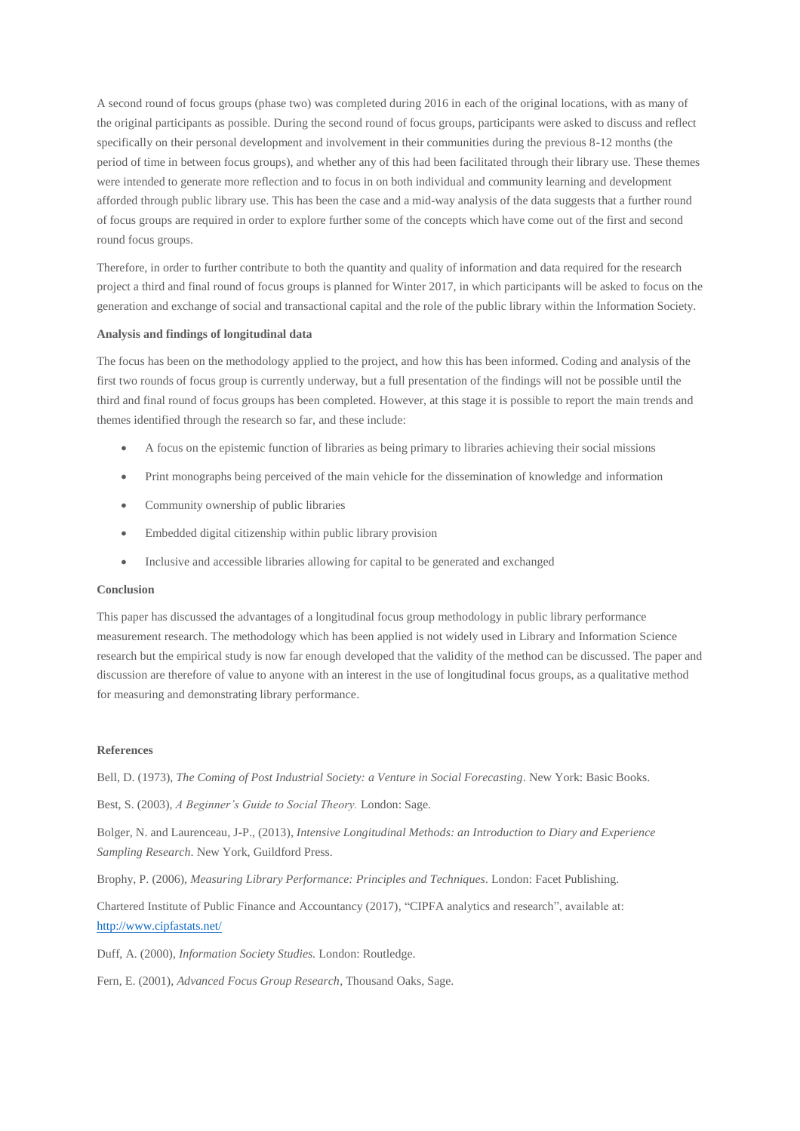A second round of focus groups (phase two) was completed during 2016 in each of the original locations, with as many of the original participants as possible. During the second round of focus groups, participants were asked to discuss and reflect specifically on their personal development and involvement in their communities during the previous 8-12 months (the period of time in between focus groups), and whether any of this had been facilitated through their library use. These themes were intended to generate more reflection and to focus in on both individual and community learning and development afforded through public library use. This has been the case and a mid-way analysis of the data suggests that a further round of focus groups are required in order to explore further some of the concepts which have come out of the first and second round focus groups.

Therefore, in order to further contribute to both the quantity and quality of information and data required for the research project a third and final round of focus groups is planned for Winter 2017, in which participants will be asked to focus on the generation and exchange of social and transactional capital and the role of the public library within the Information Society.

### **Analysis and findings of longitudinal data**

The focus has been on the methodology applied to the project, and how this has been informed. Coding and analysis of the first two rounds of focus group is currently underway, but a full presentation of the findings will not be possible until the third and final round of focus groups has been completed. However, at this stage it is possible to report the main trends and themes identified through the research so far, and these include:

- A focus on the epistemic function of libraries as being primary to libraries achieving their social missions
- Print monographs being perceived of the main vehicle for the dissemination of knowledge and information
- Community ownership of public libraries
- Embedded digital citizenship within public library provision
- Inclusive and accessible libraries allowing for capital to be generated and exchanged

# **Conclusion**

This paper has discussed the advantages of a longitudinal focus group methodology in public library performance measurement research. The methodology which has been applied is not widely used in Library and Information Science research but the empirical study is now far enough developed that the validity of the method can be discussed. The paper and discussion are therefore of value to anyone with an interest in the use of longitudinal focus groups, as a qualitative method for measuring and demonstrating library performance.

#### **References**

Bell, D. (1973), *The Coming of Post Industrial Society: a Venture in Social Forecasting*. New York: Basic Books.

Best, S. (2003), *A Beginner's Guide to Social Theory.* London: Sage.

Bolger, N. and Laurenceau, J-P., (2013), *Intensive Longitudinal Methods: an Introduction to Diary and Experience Sampling Research*. New York, Guildford Press.

Brophy, P. (2006), *Measuring Library Performance: Principles and Techniques*. London: Facet Publishing.

Chartered Institute of Public Finance and Accountancy (2017), "CIPFA analytics and research", available at: <http://www.cipfastats.net/>

Duff, A. (2000), *Information Society Studies.* London: Routledge.

Fern, E. (2001), *Advanced Focus Group Research*, Thousand Oaks, Sage.